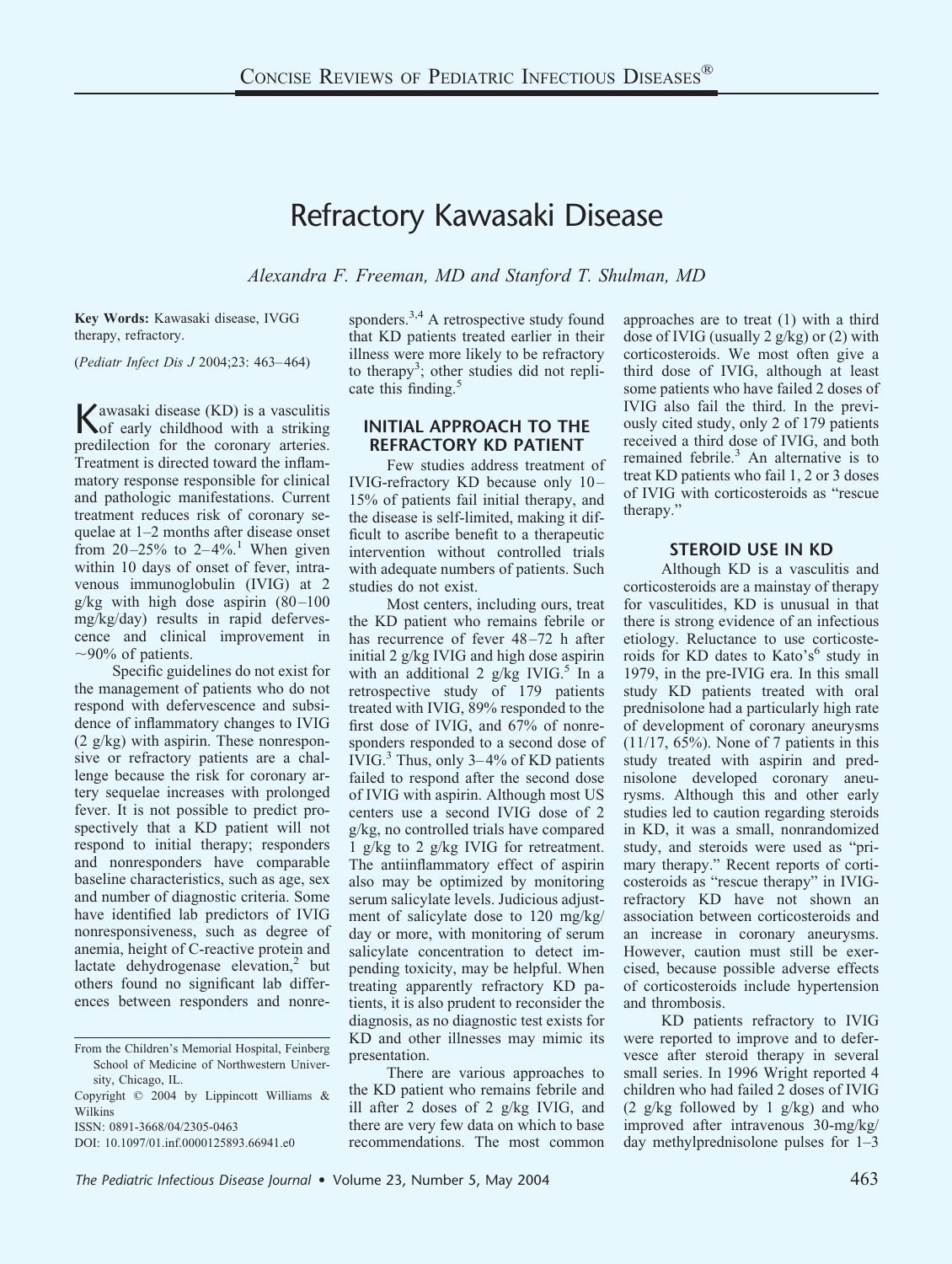# Refractory Kawasaki Disease

*Alexandra F. Freeman, MD and Stanford T. Shulman, MD*

**Key Words:** Kawasaki disease, IVGG therapy, refractory.

(*Pediatr Infect Dis J* 2004;23: 463–464)

Kawasaki disease (KD) is a vasculitis of early childhood with a striking predilection for the coronary arteries. Treatment is directed toward the inflammatory response responsible for clinical and pathologic manifestations. Current treatment reduces risk of coronary sequelae at 1–2 months after disease onset from  $20-25%$  to  $2-4%$ <sup>1</sup>. When given within 10 days of onset of fever, intravenous immunoglobulin (IVIG) at 2  $g/kg$  with high dose aspirin  $(80-100)$ mg/kg/day) results in rapid defervescence and clinical improvement in  $\sim$ 90% of patients.

Specific guidelines do not exist for the management of patients who do not respond with defervescence and subsidence of inflammatory changes to IVIG (2 g/kg) with aspirin. These nonresponsive or refractory patients are a challenge because the risk for coronary artery sequelae increases with prolonged fever. It is not possible to predict prospectively that a KD patient will not respond to initial therapy; responders and nonresponders have comparable baseline characteristics, such as age, sex and number of diagnostic criteria. Some have identified lab predictors of IVIG nonresponsiveness, such as degree of anemia, height of C-reactive protein and lactate dehydrogenase elevation, $<sup>2</sup>$  but</sup> others found no significant lab differences between responders and nonre-

ISSN: 0891-3668/04/2305-0463

sponders.<sup>3,4</sup> A retrospective study found that KD patients treated earlier in their illness were more likely to be refractory to therapy<sup>3</sup>; other studies did not replicate this finding.<sup>5</sup>

# **INITIAL APPROACH TO THE REFRACTORY KD PATIENT**

Few studies address treatment of IVIG-refractory KD because only 10– 15% of patients fail initial therapy, and the disease is self-limited, making it difficult to ascribe benefit to a therapeutic intervention without controlled trials with adequate numbers of patients. Such studies do not exist.

Most centers, including ours, treat the KD patient who remains febrile or has recurrence of fever 48–72 h after initial 2 g/kg IVIG and high dose aspirin with an additional 2  $g/kg$  IVIG.<sup>5</sup> In a retrospective study of 179 patients treated with IVIG, 89% responded to the first dose of IVIG, and 67% of nonresponders responded to a second dose of IVIG.<sup>3</sup> Thus, only  $3-4\%$  of KD patients failed to respond after the second dose of IVIG with aspirin. Although most US centers use a second IVIG dose of 2 g/kg, no controlled trials have compared 1 g/kg to 2 g/kg IVIG for retreatment. The antiinflammatory effect of aspirin also may be optimized by monitoring serum salicylate levels. Judicious adjustment of salicylate dose to 120 mg/kg/ day or more, with monitoring of serum salicylate concentration to detect impending toxicity, may be helpful. When treating apparently refractory KD patients, it is also prudent to reconsider the diagnosis, as no diagnostic test exists for KD and other illnesses may mimic its presentation.

There are various approaches to the KD patient who remains febrile and ill after 2 doses of 2 g/kg IVIG, and there are very few data on which to base recommendations. The most common approaches are to treat (1) with a third dose of IVIG (usually 2 g/kg) or (2) with corticosteroids. We most often give a third dose of IVIG, although at least some patients who have failed 2 doses of IVIG also fail the third. In the previously cited study, only 2 of 179 patients received a third dose of IVIG, and both remained febrile.<sup>3</sup> An alternative is to treat KD patients who fail 1, 2 or 3 doses of IVIG with corticosteroids as "rescue therapy."

### **STEROID USE IN KD**

Although KD is a vasculitis and corticosteroids are a mainstay of therapy for vasculitides, KD is unusual in that there is strong evidence of an infectious etiology. Reluctance to use corticosteroids for KD dates to Kato's<sup>6</sup> study in 1979, in the pre-IVIG era. In this small study KD patients treated with oral prednisolone had a particularly high rate of development of coronary aneurysms (11/17, 65%). None of 7 patients in this study treated with aspirin and prednisolone developed coronary aneurysms. Although this and other early studies led to caution regarding steroids in KD, it was a small, nonrandomized study, and steroids were used as "primary therapy." Recent reports of corticosteroids as "rescue therapy" in IVIGrefractory KD have not shown an association between corticosteroids and an increase in coronary aneurysms. However, caution must still be exercised, because possible adverse effects of corticosteroids include hypertension and thrombosis.

KD patients refractory to IVIG were reported to improve and to defervesce after steroid therapy in several small series. In 1996 Wright reported 4 children who had failed 2 doses of IVIG  $(2 \text{ g/kg}$  followed by 1  $\text{ g/kg}$ ) and who improved after intravenous 30-mg/kg/ day methylprednisolone pulses for 1–3

From the Children's Memorial Hospital, Feinberg School of Medicine of Northwestern University, Chicago, IL.

Copyright © 2004 by Lippincott Williams & Wilkins

DOI: 10.1097/01.inf.0000125893.66941.e0